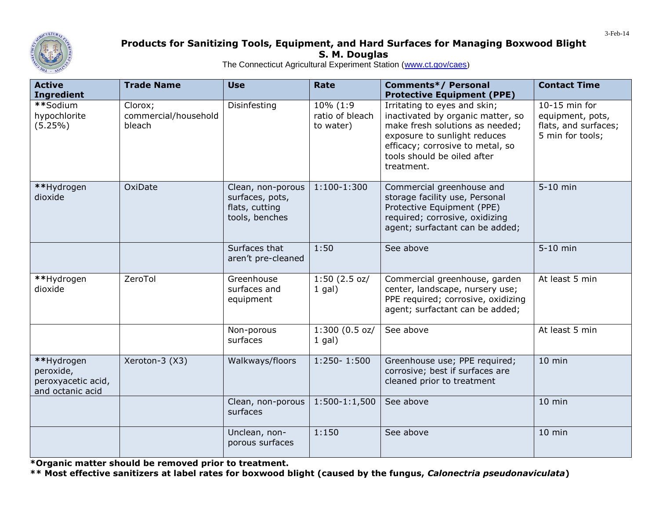

## **Products for Sanitizing Tools, Equipment, and Hard Surfaces for Managing Boxwood Blight S. M. Douglas**

The Connecticut Agricultural Experiment Station [\(www.ct.gov/caes](http://www.ct.gov/caes))

| <b>Active</b><br><b>Ingredient</b>                                | <b>Trade Name</b>                         | <b>Use</b>                                                               | Rate                                     | <b>Comments*/ Personal</b><br><b>Protective Equipment (PPE)</b>                                                                                                                                                       | <b>Contact Time</b>                                                           |
|-------------------------------------------------------------------|-------------------------------------------|--------------------------------------------------------------------------|------------------------------------------|-----------------------------------------------------------------------------------------------------------------------------------------------------------------------------------------------------------------------|-------------------------------------------------------------------------------|
| **Sodium<br>hypochlorite<br>(5.25%)                               | Clorox;<br>commercial/household<br>bleach | Disinfesting                                                             | 10% (1:9<br>ratio of bleach<br>to water) | Irritating to eyes and skin;<br>inactivated by organic matter, so<br>make fresh solutions as needed;<br>exposure to sunlight reduces<br>efficacy; corrosive to metal, so<br>tools should be oiled after<br>treatment. | 10-15 min for<br>equipment, pots,<br>flats, and surfaces;<br>5 min for tools; |
| **Hydrogen<br>dioxide                                             | OxiDate                                   | Clean, non-porous<br>surfaces, pots,<br>flats, cutting<br>tools, benches | 1:100-1:300                              | Commercial greenhouse and<br>storage facility use, Personal<br>Protective Equipment (PPE)<br>required; corrosive, oxidizing<br>agent; surfactant can be added;                                                        | 5-10 min                                                                      |
|                                                                   |                                           | Surfaces that<br>aren't pre-cleaned                                      | 1:50                                     | See above                                                                                                                                                                                                             | 5-10 min                                                                      |
| **Hydrogen<br>dioxide                                             | ZeroTol                                   | Greenhouse<br>surfaces and<br>equipment                                  | 1:50(2.5 oz/<br>$1$ gal)                 | Commercial greenhouse, garden<br>center, landscape, nursery use;<br>PPE required; corrosive, oxidizing<br>agent; surfactant can be added;                                                                             | At least 5 min                                                                |
|                                                                   |                                           | Non-porous<br>surfaces                                                   | 1:300(0.5 oz/<br>$1$ gal)                | See above                                                                                                                                                                                                             | At least 5 min                                                                |
| **Hydrogen<br>peroxide,<br>peroxyacetic acid,<br>and octanic acid | Xeroton-3 (X3)                            | Walkways/floors                                                          | 1:250-1:500                              | Greenhouse use; PPE required;<br>corrosive; best if surfaces are<br>cleaned prior to treatment                                                                                                                        | $10$ min                                                                      |
|                                                                   |                                           | Clean, non-porous<br>surfaces                                            | $1:500-1:1,500$                          | See above                                                                                                                                                                                                             | $10$ min                                                                      |
|                                                                   |                                           | Unclean, non-<br>porous surfaces                                         | 1:150                                    | See above                                                                                                                                                                                                             | 10 min                                                                        |

**\*Organic matter should be removed prior to treatment.**

**\*\* Most effective sanitizers at label rates for boxwood blight (caused by the fungus,** *Calonectria pseudonaviculata***)**